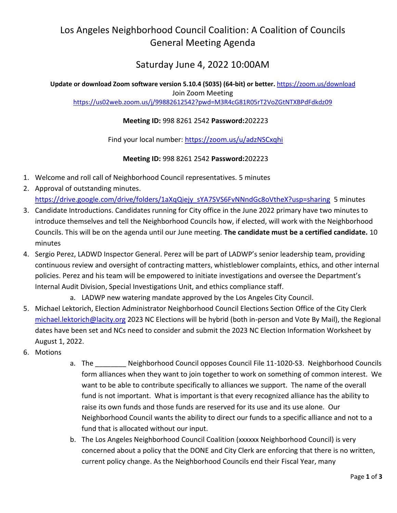## Los Angeles Neighborhood Council Coalition: A Coalition of Councils General Meeting Agenda

## Saturday June 4, 2022 10:00AM

**Update or download Zoom software version 5.10.4 (5035) (64-bit) or better.** <https://zoom.us/download> Join Zoom Meeting <https://us02web.zoom.us/j/99882612542?pwd=M3R4cG81R05rT2VoZGtNTXBPdFdkdz09>

## **Meeting ID:** 998 8261 2542 **Password:**202223

Find your local number:<https://zoom.us/u/adzNSCxqhi>

**Meeting ID:** 998 8261 2542 **Password:**202223

- 1. Welcome and roll call of Neighborhood Council representatives. 5 minutes
- 2. Approval of outstanding minutes. [https://drive.google.com/drive/folders/1aXqQiejy\\_sYA7SVS6FvNNndGc8oVtheX?usp=sharing](https://drive.google.com/drive/folders/1aXqQiejy_sYA7SVS6FvNNndGc8oVtheX?usp=sharing) 5 minutes
- 3. Candidate Introductions. Candidates running for City office in the June 2022 primary have two minutes to introduce themselves and tell the Neighborhood Councils how, if elected, will work with the Neighborhood Councils. This will be on the agenda until our June meeting. **The candidate must be a certified candidate.** 10 minutes
- 4. Sergio Perez, LADWD Inspector General. Perez will be part of LADWP's senior leadership team, providing continuous review and oversight of contracting matters, whistleblower complaints, ethics, and other internal policies. Perez and his team will be empowered to initiate investigations and oversee the Department's Internal Audit Division, Special Investigations Unit, and ethics compliance staff.

a. LADWP new watering mandate approved by the Los Angeles City Council.

- 5. Michael Lektorich, Election Administrator Neighborhood Council Elections Section Office of the City Clerk [michael.lektorich@lacity.org](mailto:michael.lektorich@lacity.org) 2023 NC Elections will be hybrid (both in-person and Vote By Mail), the Regional dates have been set and NCs need to consider and submit the 2023 NC Election Information Worksheet by August 1, 2022.
- 6. Motions
- a. The Neighborhood Council opposes Council File 11-1020-S3. Neighborhood Councils form alliances when they want to join together to work on something of common interest. We want to be able to contribute specifically to alliances we support. The name of the overall fund is not important. What is important is that every recognized alliance has the ability to raise its own funds and those funds are reserved for its use and its use alone. Our Neighborhood Council wants the ability to direct our funds to a specific alliance and not to a fund that is allocated without our input.
- b. The Los Angeles Neighborhood Council Coalition (xxxxxx Neighborhood Council) is very concerned about a policy that the DONE and City Clerk are enforcing that there is no written, current policy change. As the Neighborhood Councils end their Fiscal Year, many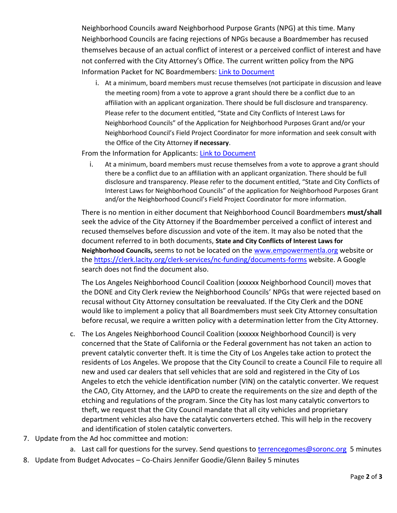Neighborhood Councils award Neighborhood Purpose Grants (NPG) at this time. Many Neighborhood Councils are facing rejections of NPGs because a Boardmember has recused themselves because of an actual conflict of interest or a perceived conflict of interest and have not conferred with the City Attorney's Office. The current written policy from the NPG Information Packet for NC Boardmembers: [Link to Document](https://clerk.lacity.org/sites/g/files/wph1491/files/2021-02/NPG%20NC%20Information%20Packet%2002-2018.pdf)

i. At a minimum, board members must recuse themselves (not participate in discussion and leave the meeting room) from a vote to approve a grant should there be a conflict due to an affiliation with an applicant organization. There should be full disclosure and transparency. Please refer to the document entitled, "State and City Conflicts of Interest Laws for Neighborhood Councils" of the Application for Neighborhood Purposes Grant and/or your Neighborhood Council's Field Project Coordinator for more information and seek consult with the Office of the City Attorney **if necessary**.

From the Information for Applicants: [Link to Document](https://clerk.lacity.org/sites/g/files/wph1491/files/2021-02/NPG%20Applicant%20Information%20Packet%202018.pdf)

i. At a minimum, board members must recuse themselves from a vote to approve a grant should there be a conflict due to an affiliation with an applicant organization. There should be full disclosure and transparency. Please refer to the document entitled, "State and City Conflicts of Interest Laws for Neighborhood Councils" of the application for Neighborhood Purposes Grant and/or the Neighborhood Council's Field Project Coordinator for more information.

There is no mention in either document that Neighborhood Council Boardmembers **must/shall** seek the advice of the City Attorney if the Boardmember perceived a conflict of interest and recused themselves before discussion and vote of the item. It may also be noted that the document referred to in both documents, **State and City Conflicts of Interest Laws for Neighborhood Councils,** seems to not be located on the [www.empowermentla.org](http://www.empowermentla.org/) website or the<https://clerk.lacity.org/clerk-services/nc-funding/documents-forms> website. A Google search does not find the document also.

The Los Angeles Neighborhood Council Coalition (xxxxxx Neighborhood Council) moves that the DONE and City Clerk review the Neighborhood Councils' NPGs that were rejected based on recusal without City Attorney consultation be reevaluated. If the City Clerk and the DONE would like to implement a policy that all Boardmembers must seek City Attorney consultation before recusal, we require a written policy with a determination letter from the City Attorney.

- c. The Los Angeles Neighborhood Council Coalition (xxxxxx Neighborhood Council) is very concerned that the State of California or the Federal government has not taken an action to prevent catalytic converter theft. It is time the City of Los Angeles take action to protect the residents of Los Angeles. We propose that the City Council to create a Council File to require all new and used car dealers that sell vehicles that are sold and registered in the City of Los Angeles to etch the vehicle identification number (VIN) on the catalytic converter. We request the CAO, City Attorney, and the LAPD to create the requirements on the size and depth of the etching and regulations of the program. Since the City has lost many catalytic convertors to theft, we request that the City Council mandate that all city vehicles and proprietary department vehicles also have the catalytic converters etched. This will help in the recovery and identification of stolen catalytic converters.
- 7. Update from the Ad hoc committee and motion:
	- a. Last call for questions for the survey. Send questions to [terrencegomes@soronc.org](mailto:terrencegomes@soronc.org) 5 minutes
- 8. Update from Budget Advocates Co-Chairs Jennifer Goodie/Glenn Bailey 5 minutes